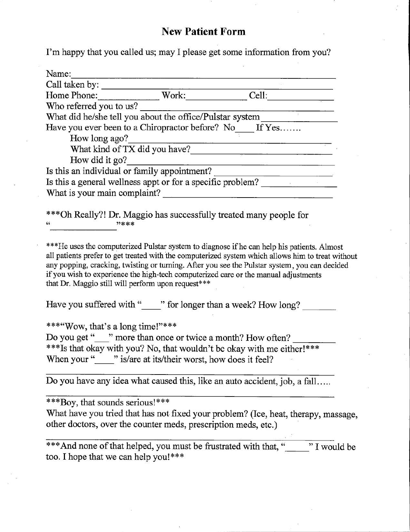## **New Patient Form**

I'm happy that you called us; may I please get some information from you?

| Name:                                                      |       |       |  |  |
|------------------------------------------------------------|-------|-------|--|--|
| Call taken by:                                             |       |       |  |  |
| Home Phone:                                                | Work: | Cell: |  |  |
| Who referred you to us?                                    |       |       |  |  |
| What did he/she tell you about the office/Pulstar system   |       |       |  |  |
| Have you ever been to a Chiropractor before? No If Yes     |       |       |  |  |
| How long ago?                                              |       |       |  |  |
| What kind of TX did you have?                              |       |       |  |  |
| How did it go?                                             |       |       |  |  |
| Is this an individual or family appointment?               |       |       |  |  |
| Is this a general wellness appt or for a specific problem? |       |       |  |  |
| What is your main complaint?                               |       |       |  |  |

\*\*\*Oh Really?! Dr. Maggio has successfully treated many people for **22米米米** 

\*\*\*He uses the computerized Pulstar system to diagnose if he can help his patients. Almost all patients prefer to get treated with the computerized system which allows him to treat without any popping, cracking, twisting or turning. After you see the Pulstar system, you can decided if you wish to experience the high-tech computerized care or the manual adjustments that Dr. Maggio still will perform upon request\*\*\*

Have you suffered with "" for longer than a week? How long?

\*\*\*"Wow, that's a long time!"\*\*\*

Do you get "" more than once or twice a month? How often? \*\*\*Is that okay with you? No, that wouldn't be okay with me either!\*\*\* When your "" is/are at its/their worst, how does it feel?

Do you have any idea what caused this, like an auto accident, job, a fall.....

\*\*\*Boy, that sounds serious!\*\*\*

What have you tried that has not fixed your problem? (Ice, heat, therapy, massage, other doctors, over the counter meds, prescription meds, etc.)

\*\*\* And none of that helped, you must be frustrated with that, " "I would be too. I hope that we can help you!\*\*\*